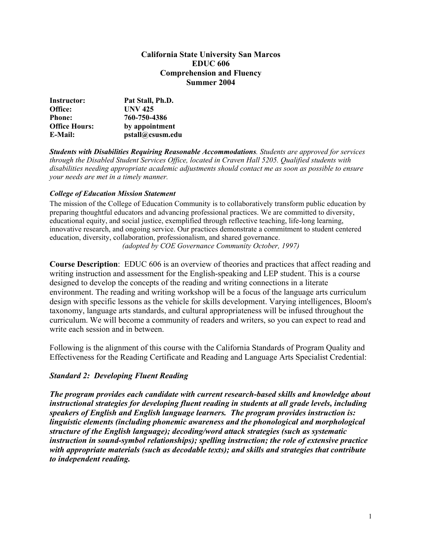#### **California State University San Marcos EDUC 606 Comprehension and Fluency Summer 2004**

| Instructor:          | Pat Stall, Ph.D. |
|----------------------|------------------|
| Office:              | <b>UNV 425</b>   |
| <b>Phone:</b>        | 760-750-4386     |
| <b>Office Hours:</b> | by appointment   |
| <b>E-Mail:</b>       | pstall@csusm.edu |

*Students with Disabilities Requiring Reasonable Accommodations. Students are approved for services through the Disabled Student Services Office, located in Craven Hall 5205. Qualified students with disabilities needing appropriate academic adjustments should contact me as soon as possible to ensure your needs are met in a timely manner.* 

#### *College of Education Mission Statement*

The mission of the College of Education Community is to collaboratively transform public education by preparing thoughtful educators and advancing professional practices. We are committed to diversity, educational equity, and social justice, exemplified through reflective teaching, life-long learning, innovative research, and ongoing service. Our practices demonstrate a commitment to student centered education, diversity, collaboration, professionalism, and shared governance. *(adopted by COE Governance Community October, 1997)*

**Course Description**: EDUC 606 is an overview of theories and practices that affect reading and writing instruction and assessment for the English-speaking and LEP student. This is a course designed to develop the concepts of the reading and writing connections in a literate environment. The reading and writing workshop will be a focus of the language arts curriculum design with specific lessons as the vehicle for skills development. Varying intelligences, Bloom's taxonomy, language arts standards, and cultural appropriateness will be infused throughout the curriculum. We will become a community of readers and writers, so you can expect to read and write each session and in between.

Following is the alignment of this course with the California Standards of Program Quality and Effectiveness for the Reading Certificate and Reading and Language Arts Specialist Credential:

#### *Standard 2: Developing Fluent Reading*

*The program provides each candidate with current research-based skills and knowledge about instructional strategies for developing fluent reading in students at all grade levels, including speakers of English and English language learners. The program provides instruction is: linguistic elements (including phonemic awareness and the phonological and morphological structure of the English language); decoding/word attack strategies (such as systematic instruction in sound-symbol relationships); spelling instruction; the role of extensive practice with appropriate materials (such as decodable texts); and skills and strategies that contribute to independent reading.*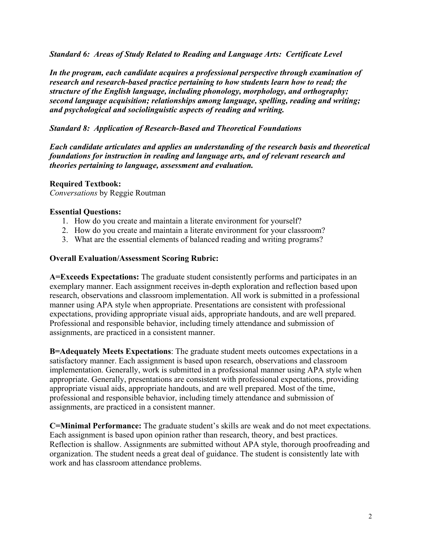*Standard 6: Areas of Study Related to Reading and Language Arts: Certificate Level*

*In the program, each candidate acquires a professional perspective through examination of research and research-based practice pertaining to how students learn how to read; the structure of the English language, including phonology, morphology, and orthography; second language acquisition; relationships among language, spelling, reading and writing; and psychological and sociolinguistic aspects of reading and writing.*

## *Standard 8: Application of Research-Based and Theoretical Foundations*

*Each candidate articulates and applies an understanding of the research basis and theoretical foundations for instruction in reading and language arts, and of relevant research and theories pertaining to language, assessment and evaluation.* 

## **Required Textbook:**

*Conversations* by Reggie Routman

#### **Essential Questions:**

- 1. How do you create and maintain a literate environment for yourself?
- 2. How do you create and maintain a literate environment for your classroom?
- 3. What are the essential elements of balanced reading and writing programs?

## **Overall Evaluation/Assessment Scoring Rubric:**

**A=Exceeds Expectations:** The graduate student consistently performs and participates in an exemplary manner. Each assignment receives in-depth exploration and reflection based upon research, observations and classroom implementation. All work is submitted in a professional manner using APA style when appropriate. Presentations are consistent with professional expectations, providing appropriate visual aids, appropriate handouts, and are well prepared. Professional and responsible behavior, including timely attendance and submission of assignments, are practiced in a consistent manner.

**B=Adequately Meets Expectations**: The graduate student meets outcomes expectations in a satisfactory manner. Each assignment is based upon research, observations and classroom implementation. Generally, work is submitted in a professional manner using APA style when appropriate. Generally, presentations are consistent with professional expectations, providing appropriate visual aids, appropriate handouts, and are well prepared. Most of the time, professional and responsible behavior, including timely attendance and submission of assignments, are practiced in a consistent manner.

**C=Minimal Performance:** The graduate student's skills are weak and do not meet expectations. Each assignment is based upon opinion rather than research, theory, and best practices. Reflection is shallow. Assignments are submitted without APA style, thorough proofreading and organization. The student needs a great deal of guidance. The student is consistently late with work and has classroom attendance problems.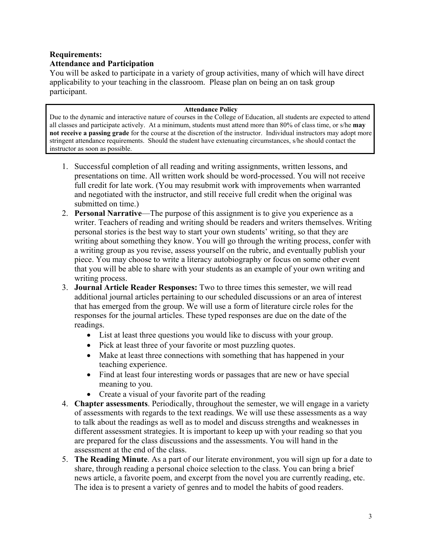# **Requirements: Attendance and Participation**

You will be asked to participate in a variety of group activities, many of which will have direct applicability to your teaching in the classroom. Please plan on being an on task group participant.

#### **Attendance Policy**

Due to the dynamic and interactive nature of courses in the College of Education, all students are expected to attend all classes and participate actively. At a minimum, students must attend more than 80% of class time, or s/he **may not receive a passing grade** for the course at the discretion of the instructor. Individual instructors may adopt more stringent attendance requirements. Should the student have extenuating circumstances, s/he should contact the instructor as soon as possible.

- 1. Successful completion of all reading and writing assignments, written lessons, and presentations on time. All written work should be word-processed. You will not receive full credit for late work. (You may resubmit work with improvements when warranted and negotiated with the instructor, and still receive full credit when the original was submitted on time.)
- 2. **Personal Narrative**—The purpose of this assignment is to give you experience as a writer. Teachers of reading and writing should be readers and writers themselves. Writing personal stories is the best way to start your own students' writing, so that they are writing about something they know. You will go through the writing process, confer with a writing group as you revise, assess yourself on the rubric, and eventually publish your piece. You may choose to write a literacy autobiography or focus on some other event that you will be able to share with your students as an example of your own writing and writing process.
- 3. **Journal Article Reader Responses:** Two to three times this semester, we will read additional journal articles pertaining to our scheduled discussions or an area of interest that has emerged from the group. We will use a form of literature circle roles for the responses for the journal articles. These typed responses are due on the date of the readings.
	- List at least three questions you would like to discuss with your group.
	- Pick at least three of your favorite or most puzzling quotes.
	- Make at least three connections with something that has happened in your teaching experience.
	- Find at least four interesting words or passages that are new or have special meaning to you.
	- Create a visual of your favorite part of the reading
- 4. **Chapter assessments**. Periodically, throughout the semester, we will engage in a variety of assessments with regards to the text readings. We will use these assessments as a way to talk about the readings as well as to model and discuss strengths and weaknesses in different assessment strategies. It is important to keep up with your reading so that you are prepared for the class discussions and the assessments. You will hand in the assessment at the end of the class.
- 5. **The Reading Minute**. As a part of our literate environment, you will sign up for a date to share, through reading a personal choice selection to the class. You can bring a brief news article, a favorite poem, and excerpt from the novel you are currently reading, etc. The idea is to present a variety of genres and to model the habits of good readers.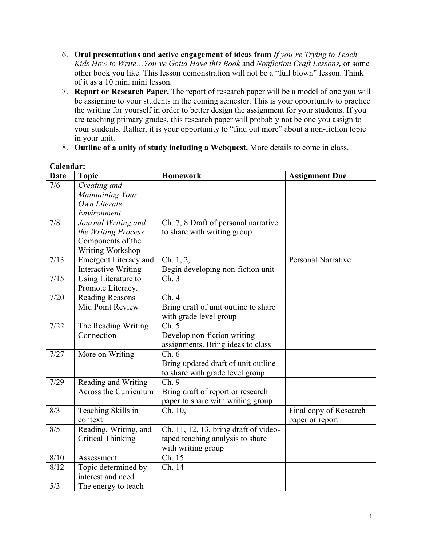- 6. **Oral presentations and active engagement of ideas from** *If you're Trying to Teach Kids How to Write…You've Gotta Have this Book* and *Nonfiction Craft Lessons,* or some other book you like. This lesson demonstration will not be a "full blown" lesson. Think of it as a 10 min. mini lesson.
- 7. **Report or Research Paper.** The report of research paper will be a model of one you will be assigning to your students in the coming semester. This is your opportunity to practice the writing for yourself in order to better design the assignment for your students. If you are teaching primary grades, this research paper will probably not be one you assign to your students. Rather, it is your opportunity to "find out more" about a non-fiction topic in your unit.
- 8. **Outline of a unity of study including a Webquest.** More details to come in class.

| Caltudal .<br><b>Date</b>    | <b>Topic</b>               | <b>Homework</b>                       | <b>Assignment Due</b>     |
|------------------------------|----------------------------|---------------------------------------|---------------------------|
| 7/6                          | Creating and               |                                       |                           |
|                              | Maintaining Your           |                                       |                           |
|                              | Own Literate               |                                       |                           |
|                              | Environment                |                                       |                           |
| 7/8                          | Journal Writing and        | Ch. 7, 8 Draft of personal narrative  |                           |
|                              | the Writing Process        | to share with writing group           |                           |
|                              | Components of the          |                                       |                           |
|                              | Writing Workshop           |                                       |                           |
| 7/13                         | Emergent Literacy and      | Ch. 1, 2,                             | <b>Personal Narrative</b> |
|                              | <b>Interactive Writing</b> | Begin developing non-fiction unit     |                           |
| 7/15                         | Using Literature to        | Ch.3                                  |                           |
|                              | Promote Literacy.          |                                       |                           |
| 7/20                         | <b>Reading Reasons</b>     | Ch.4                                  |                           |
|                              | Mid Point Review           | Bring draft of unit outline to share  |                           |
|                              |                            | with grade level group                |                           |
| 7/22                         | The Reading Writing        | Ch. 5                                 |                           |
|                              | Connection                 | Develop non-fiction writing           |                           |
|                              |                            | assignments. Bring ideas to class     |                           |
| 7/27                         | More on Writing            | Ch.6                                  |                           |
|                              |                            | Bring updated draft of unit outline   |                           |
|                              |                            | to share with grade level group       |                           |
| 7/29                         | Reading and Writing        | Ch. 9                                 |                           |
|                              | Across the Curriculum      | Bring draft of report or research     |                           |
|                              |                            | paper to share with writing group     |                           |
| 8/3                          | Teaching Skills in         | Ch. 10,                               | Final copy of Research    |
|                              | context                    |                                       | paper or report           |
| 8/5                          | Reading, Writing, and      | Ch. 11, 12, 13, bring draft of video- |                           |
|                              | <b>Critical Thinking</b>   | taped teaching analysis to share      |                           |
|                              |                            | with writing group                    |                           |
| $\overline{\overline{8}/10}$ | Assessment                 | Ch. 15                                |                           |
| 8/12                         | Topic determined by        | Ch. 14                                |                           |
|                              | interest and need          |                                       |                           |
| 5/3                          | The energy to teach        |                                       |                           |

## **Calendar:**